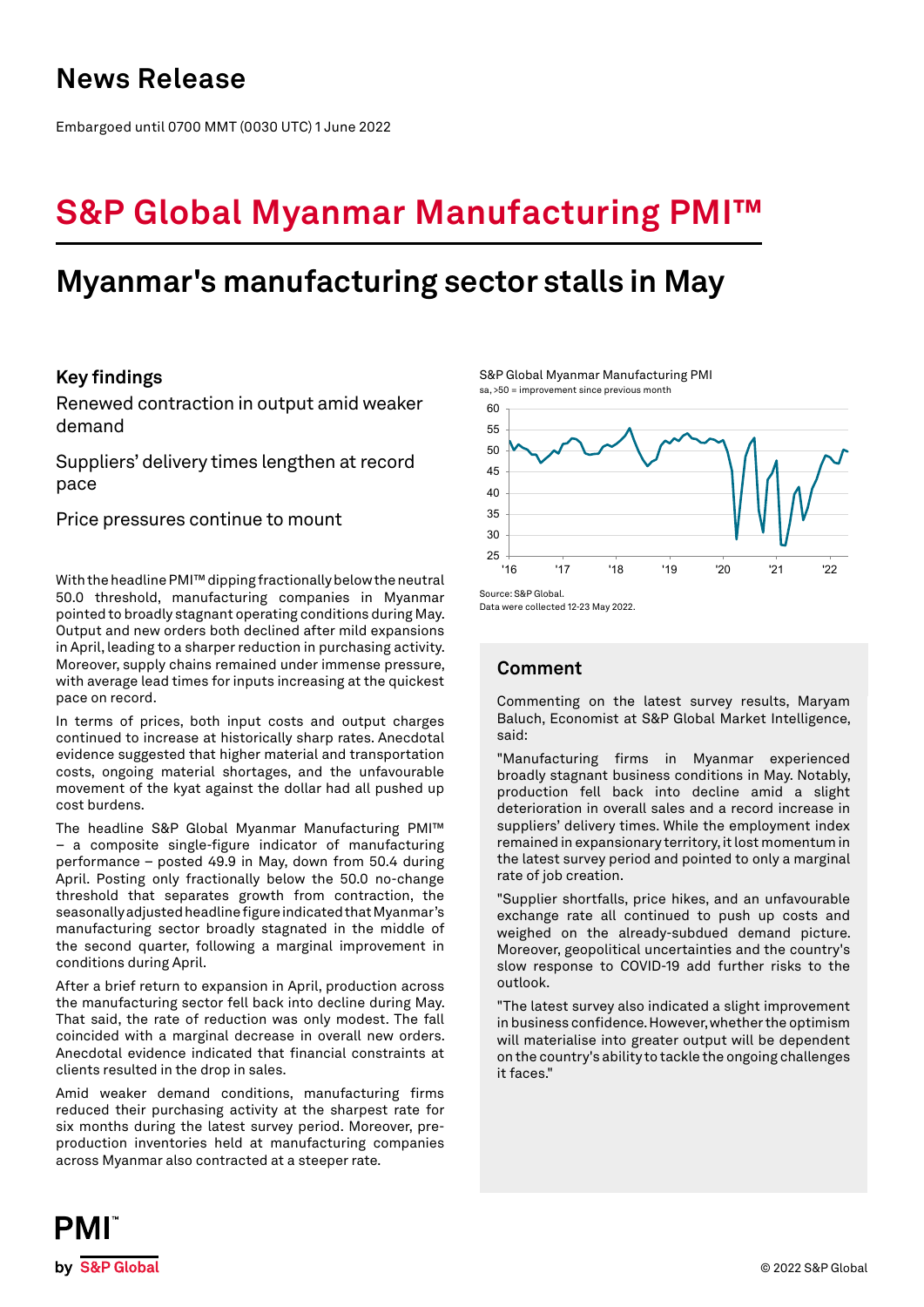## **News Release**

Embargoed until 0700 MMT (0030 UTC) 1 June 2022

# **S&P Global Myanmar Manufacturing PMI™**

## **Myanmar's manufacturing sector stalls in May**

## **Key findings**

Renewed contraction in output amid weaker demand

Suppliers' delivery times lengthen at record pace

Price pressures continue to mount

With the headline PMI™ dipping fractionally below the neutral 50.0 threshold, manufacturing companies in Myanmar pointed to broadly stagnant operating conditions during May. Output and new orders both declined after mild expansions in April, leading to a sharper reduction in purchasing activity. Moreover, supply chains remained under immense pressure, with average lead times for inputs increasing at the quickest pace on record.

In terms of prices, both input costs and output charges continued to increase at historically sharp rates. Anecdotal evidence suggested that higher material and transportation costs, ongoing material shortages, and the unfavourable movement of the kyat against the dollar had all pushed up cost burdens.

The headline S&P Global Myanmar Manufacturing PMI™ – a composite single-figure indicator of manufacturing performance – posted 49.9 in May, down from 50.4 during April. Posting only fractionally below the 50.0 no-change threshold that separates growth from contraction, the seasonally adjusted headline figure indicated that Myanmar's manufacturing sector broadly stagnated in the middle of the second quarter, following a marginal improvement in conditions during April.

After a brief return to expansion in April, production across the manufacturing sector fell back into decline during May. That said, the rate of reduction was only modest. The fall coincided with a marginal decrease in overall new orders. Anecdotal evidence indicated that financial constraints at clients resulted in the drop in sales.

Amid weaker demand conditions, manufacturing firms reduced their purchasing activity at the sharpest rate for six months during the latest survey period. Moreover, preproduction inventories held at manufacturing companies across Myanmar also contracted at a steeper rate.

S&P Global Myanmar Manufacturing PMI sa, >50 = improvement since previous month



Data were collected 12-23 May 2022.

## **Comment**

Commenting on the latest survey results, Maryam Baluch, Economist at S&P Global Market Intelligence, said:

"Manufacturing firms in Myanmar experienced broadly stagnant business conditions in May. Notably, production fell back into decline amid a slight deterioration in overall sales and a record increase in suppliers' delivery times. While the employment index remained in expansionary territory, it lost momentum in the latest survey period and pointed to only a marginal rate of job creation.

"Supplier shortfalls, price hikes, and an unfavourable exchange rate all continued to push up costs and weighed on the already-subdued demand picture. Moreover, geopolitical uncertainties and the country's slow response to COVID-19 add further risks to the outlook.

"The latest survey also indicated a slight improvement in business confidence. However, whether the optimism will materialise into greater output will be dependent on the country's ability to tackle the ongoing challenges it faces."